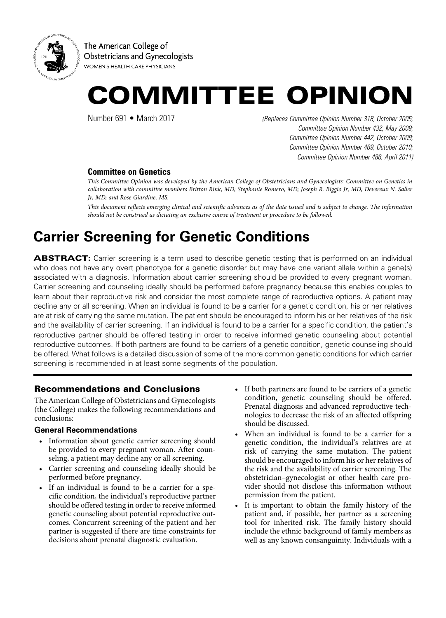

The American College of **Obstetricians and Gynecologists** WOMEN'S HEALTH CARE PHYSICIANS

# COMMITTEE OPINION

Number 691 • March 2017 *(Replaces Committee Opinion Number 318, October 2005; Committee Opinion Number 432, May 2009; Committee Opinion Number 442, October 2009; Committee Opinion Number 469, October 2010; Committee Opinion Number 486, April 2011)*

# **Committee on Genetics**

*This Committee Opinion was developed by the American College of Obstetricians and Gynecologists' Committee on Genetics in collaboration with committee members Britton Rink, MD; Stephanie Romero, MD; Joseph R. Biggio Jr, MD; Devereux N. Saller Jr, MD; and Rose Giardine, MS.*

*This document reflects emerging clinical and scientific advances as of the date issued and is subject to change. The information should not be construed as dictating an exclusive course of treatment or procedure to be followed.*

# **Carrier Screening for Genetic Conditions**

ABSTRACT: Carrier screening is a term used to describe genetic testing that is performed on an individual who does not have any overt phenotype for a genetic disorder but may have one variant allele within a gene(s) associated with a diagnosis. Information about carrier screening should be provided to every pregnant woman. Carrier screening and counseling ideally should be performed before pregnancy because this enables couples to learn about their reproductive risk and consider the most complete range of reproductive options. A patient may decline any or all screening. When an individual is found to be a carrier for a genetic condition, his or her relatives are at risk of carrying the same mutation. The patient should be encouraged to inform his or her relatives of the risk and the availability of carrier screening. If an individual is found to be a carrier for a specific condition, the patient's reproductive partner should be offered testing in order to receive informed genetic counseling about potential reproductive outcomes. If both partners are found to be carriers of a genetic condition, genetic counseling should be offered. What follows is a detailed discussion of some of the more common genetic conditions for which carrier screening is recommended in at least some segments of the population.

# Recommendations and Conclusions

The American College of Obstetricians and Gynecologists (the College) makes the following recommendations and conclusions:

# **General Recommendations**

- Information about genetic carrier screening should be provided to every pregnant woman. After counseling, a patient may decline any or all screening.
- Carrier screening and counseling ideally should be performed before pregnancy.
- If an individual is found to be a carrier for a specific condition, the individual's reproductive partner should be offered testing in order to receive informed genetic counseling about potential reproductive outcomes. Concurrent screening of the patient and her partner is suggested if there are time constraints for decisions about prenatal diagnostic evaluation.
- If both partners are found to be carriers of a genetic condition, genetic counseling should be offered. Prenatal diagnosis and advanced reproductive technologies to decrease the risk of an affected offspring should be discussed.
- When an individual is found to be a carrier for a genetic condition, the individual's relatives are at risk of carrying the same mutation. The patient should be encouraged to inform his or her relatives of the risk and the availability of carrier screening. The obstetrician–gynecologist or other health care provider should not disclose this information without permission from the patient.
- It is important to obtain the family history of the patient and, if possible, her partner as a screening tool for inherited risk. The family history should include the ethnic background of family members as well as any known consanguinity. Individuals with a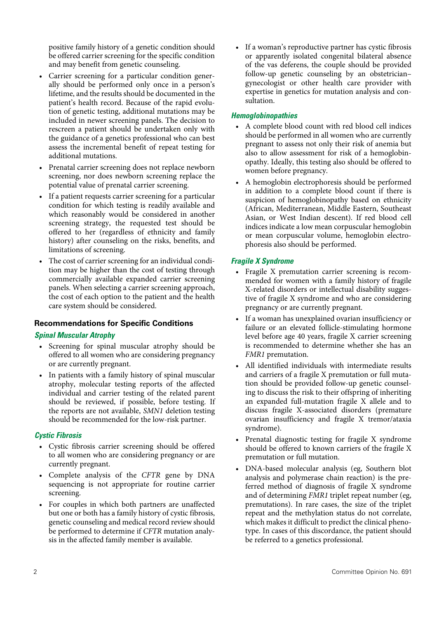positive family history of a genetic condition should be offered carrier screening for the specific condition and may benefit from genetic counseling.

- Carrier screening for a particular condition generally should be performed only once in a person's lifetime, and the results should be documented in the patient's health record. Because of the rapid evolution of genetic testing, additional mutations may be included in newer screening panels. The decision to rescreen a patient should be undertaken only with the guidance of a genetics professional who can best assess the incremental benefit of repeat testing for additional mutations.
- Prenatal carrier screening does not replace newborn screening, nor does newborn screening replace the potential value of prenatal carrier screening.
- If a patient requests carrier screening for a particular condition for which testing is readily available and which reasonably would be considered in another screening strategy, the requested test should be offered to her (regardless of ethnicity and family history) after counseling on the risks, benefits, and limitations of screening.
- The cost of carrier screening for an individual condition may be higher than the cost of testing through commercially available expanded carrier screening panels. When selecting a carrier screening approach, the cost of each option to the patient and the health care system should be considered.

# **Recommendations for Specific Conditions**

# *Spinal Muscular Atrophy*

- Screening for spinal muscular atrophy should be offered to all women who are considering pregnancy or are currently pregnant.
- In patients with a family history of spinal muscular atrophy, molecular testing reports of the affected individual and carrier testing of the related parent should be reviewed, if possible, before testing. If the reports are not available, *SMN1* deletion testing should be recommended for the low-risk partner.

# *Cystic Fibrosis*

- Cystic fibrosis carrier screening should be offered to all women who are considering pregnancy or are currently pregnant.
- Complete analysis of the *CFTR* gene by DNA sequencing is not appropriate for routine carrier screening.
- For couples in which both partners are unaffected but one or both has a family history of cystic fibrosis, genetic counseling and medical record review should be performed to determine if *CFTR* mutation analysis in the affected family member is available.

• If a woman's reproductive partner has cystic fibrosis or apparently isolated congenital bilateral absence of the vas deferens, the couple should be provided follow-up genetic counseling by an obstetrician– gynecologist or other health care provider with expertise in genetics for mutation analysis and consultation.

# *Hemoglobinopathies*

- A complete blood count with red blood cell indices should be performed in all women who are currently pregnant to assess not only their risk of anemia but also to allow assessment for risk of a hemoglobinopathy. Ideally, this testing also should be offered to women before pregnancy.
- A hemoglobin electrophoresis should be performed in addition to a complete blood count if there is suspicion of hemoglobinopathy based on ethnicity (African, Mediterranean, Middle Eastern, Southeast Asian, or West Indian descent). If red blood cell indices indicate a low mean corpuscular hemoglobin or mean corpuscular volume, hemoglobin electrophoresis also should be performed.

# *Fragile X Syndrome*

- Fragile X premutation carrier screening is recommended for women with a family history of fragile X-related disorders or intellectual disability suggestive of fragile X syndrome and who are considering pregnancy or are currently pregnant.
- If a woman has unexplained ovarian insufficiency or failure or an elevated follicle-stimulating hormone level before age 40 years, fragile X carrier screening is recommended to determine whether she has an *FMR1* premutation.
- All identified individuals with intermediate results and carriers of a fragile X premutation or full mutation should be provided follow-up genetic counseling to discuss the risk to their offspring of inheriting an expanded full-mutation fragile X allele and to discuss fragile X-associated disorders (premature ovarian insufficiency and fragile X tremor/ataxia syndrome).
- Prenatal diagnostic testing for fragile X syndrome should be offered to known carriers of the fragile X premutation or full mutation.
- DNA-based molecular analysis (eg, Southern blot analysis and polymerase chain reaction) is the preferred method of diagnosis of fragile X syndrome and of determining *FMR1* triplet repeat number (eg, premutations). In rare cases, the size of the triplet repeat and the methylation status do not correlate, which makes it difficult to predict the clinical phenotype. In cases of this discordance, the patient should be referred to a genetics professional.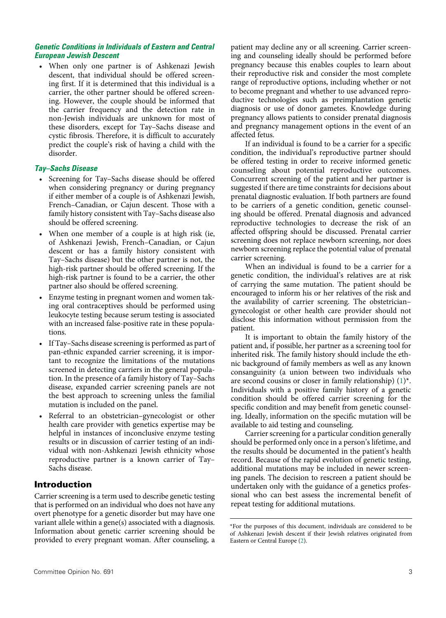#### *Genetic Conditions in Individuals of Eastern and Central European Jewish Descent*

• When only one partner is of Ashkenazi Jewish descent, that individual should be offered screening first. If it is determined that this individual is a carrier, the other partner should be offered screening. However, the couple should be informed that the carrier frequency and the detection rate in non-Jewish individuals are unknown for most of these disorders, except for Tay–Sachs disease and cystic fibrosis. Therefore, it is difficult to accurately predict the couple's risk of having a child with the disorder.

#### *Tay–Sachs Disease*

- Screening for Tay–Sachs disease should be offered when considering pregnancy or during pregnancy if either member of a couple is of Ashkenazi Jewish, French–Canadian, or Cajun descent. Those with a family history consistent with Tay–Sachs disease also should be offered screening.
- When one member of a couple is at high risk (ie, of Ashkenazi Jewish, French–Canadian, or Cajun descent or has a family history consistent with Tay–Sachs disease) but the other partner is not, the high-risk partner should be offered screening. If the high-risk partner is found to be a carrier, the other partner also should be offered screening.
- Enzyme testing in pregnant women and women taking oral contraceptives should be performed using leukocyte testing because serum testing is associated with an increased false-positive rate in these populations.
- If Tay–Sachs disease screening is performed as part of pan-ethnic expanded carrier screening, it is important to recognize the limitations of the mutations screened in detecting carriers in the general population. In the presence of a family history of Tay–Sachs disease, expanded carrier screening panels are not the best approach to screening unless the familial mutation is included on the panel.
- Referral to an obstetrician–gynecologist or other health care provider with genetics expertise may be helpful in instances of inconclusive enzyme testing results or in discussion of carrier testing of an individual with non-Ashkenazi Jewish ethnicity whose reproductive partner is a known carrier of Tay– Sachs disease.

# Introduction

Carrier screening is a term used to describe genetic testing that is performed on an individual who does not have any overt phenotype for a genetic disorder but may have one variant allele within a gene(s) associated with a diagnosis. Information about genetic carrier screening should be provided to every pregnant woman. After counseling, a patient may decline any or all screening. Carrier screening and counseling ideally should be performed before pregnancy because this enables couples to learn about their reproductive risk and consider the most complete range of reproductive options, including whether or not to become pregnant and whether to use advanced reproductive technologies such as preimplantation genetic diagnosis or use of donor gametes. Knowledge during pregnancy allows patients to consider prenatal diagnosis and pregnancy management options in the event of an affected fetus.

If an individual is found to be a carrier for a specific condition, the individual's reproductive partner should be offered testing in order to receive informed genetic counseling about potential reproductive outcomes. Concurrent screening of the patient and her partner is suggested if there are time constraints for decisions about prenatal diagnostic evaluation. If both partners are found to be carriers of a genetic condition, genetic counseling should be offered. Prenatal diagnosis and advanced reproductive technologies to decrease the risk of an affected offspring should be discussed. Prenatal carrier screening does not replace newborn screening, nor does newborn screening replace the potential value of prenatal carrier screening.

When an individual is found to be a carrier for a genetic condition, the individual's relatives are at risk of carrying the same mutation. The patient should be encouraged to inform his or her relatives of the risk and the availability of carrier screening. The obstetrician– gynecologist or other health care provider should not disclose this information without permission from the patient.

It is important to obtain the family history of the patient and, if possible, her partner as a screening tool for inherited risk. The family history should include the ethnic background of family members as well as any known consanguinity (a union between two individuals who are second cousins or closer in family relationship)  $(1)^{*}$  $(1)^{*}$ . Individuals with a positive family history of a genetic condition should be offered carrier screening for the specific condition and may benefit from genetic counseling. Ideally, information on the specific mutation will be available to aid testing and counseling.

Carrier screening for a particular condition generally should be performed only once in a person's lifetime, and the results should be documented in the patient's health record. Because of the rapid evolution of genetic testing, additional mutations may be included in newer screening panels. The decision to rescreen a patient should be undertaken only with the guidance of a genetics professional who can best assess the incremental benefit of repeat testing for additional mutations.

<sup>\*</sup>For the purposes of this document, individuals are considered to be of Ashkenazi Jewish descent if their Jewish relatives originated from Eastern or Central Europe (2).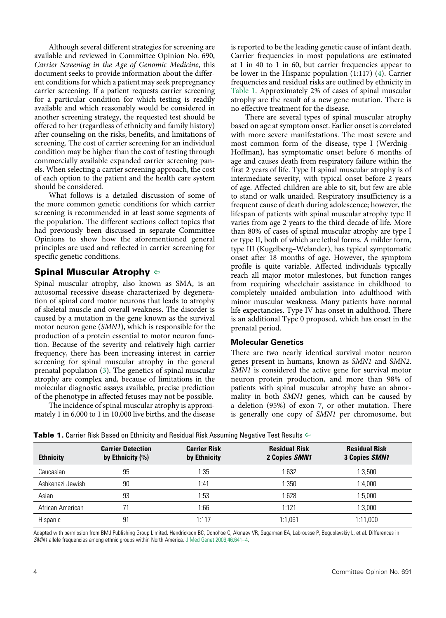Although several different strategies for screening are available and reviewed in Committee Opinion No. 690, *Carrier Screening in the Age of Genomic Medicine*, this document seeks to provide information about the different conditions for which a patient may seek prepregnancy carrier screening. If a patient requests carrier screening for a particular condition for which testing is readily available and which reasonably would be considered in another screening strategy, the requested test should be offered to her (regardless of ethnicity and family history) after counseling on the risks, benefits, and limitations of screening. The cost of carrier screening for an individual condition may be higher than the cost of testing through commercially available expanded carrier screening panels. When selecting a carrier screening approach, the cost of each option to the patient and the health care system should be considered.

What follows is a detailed discussion of some of the more common genetic conditions for which carrier screening is recommended in at least some segments of the population. The different sections collect topics that had previously been discussed in separate Committee Opinions to show how the aforementioned general principles are used and reflected in carrier screening for specific genetic conditions.

# Spinal Muscular Atrophy  $\Leftrightarrow$

Spinal muscular atrophy, also known as SMA, is an autosomal recessive disease characterized by degeneration of spinal cord motor neurons that leads to atrophy of skeletal muscle and overall weakness. The disorder is caused by a mutation in the gene known as the survival motor neuron gene (*SMN1*), which is responsible for the production of a protein essential to motor neuron function. Because of the severity and relatively high carrier frequency, there has been increasing interest in carrier screening for spinal muscular atrophy in the general prenatal population (3). The genetics of spinal muscular atrophy are complex and, because of limitations in the molecular diagnostic assays available, precise prediction of the phenotype in affected fetuses may not be possible.

The incidence of spinal muscular atrophy is approximately 1 in 6,000 to 1 in 10,000 live births, and the disease is reported to be the leading genetic cause of infant death. Carrier frequencies in most populations are estimated at 1 in 40 to 1 in 60, but carrier frequencies appear to be lower in the Hispanic population (1:117) (4). Carrier frequencies and residual risks are outlined by ethnicity in Table 1. Approximately 2% of cases of spinal muscular atrophy are the result of a new gene mutation. There is no effective treatment for the disease.

There are several types of spinal muscular atrophy based on age at symptom onset. Earlier onset is correlated with more severe manifestations. The most severe and most common form of the disease, type I (Werdnig– Hoffman), has symptomatic onset before 6 months of age and causes death from respiratory failure within the first 2 years of life. Type II spinal muscular atrophy is of intermediate severity, with typical onset before 2 years of age. Affected children are able to sit, but few are able to stand or walk unaided. Respiratory insufficiency is a frequent cause of death during adolescence; however, the lifespan of patients with spinal muscular atrophy type II varies from age 2 years to the third decade of life. More than 80% of cases of spinal muscular atrophy are type I or type II, both of which are lethal forms. A milder form, type III (Kugelberg–Welander), has typical symptomatic onset after 18 months of age. However, the symptom profile is quite variable. Affected individuals typically reach all major motor milestones, but function ranges from requiring wheelchair assistance in childhood to completely unaided ambulation into adulthood with minor muscular weakness. Many patients have normal life expectancies. Type IV has onset in adulthood. There is an additional Type 0 proposed, which has onset in the prenatal period.

# **Molecular Genetics**

There are two nearly identical survival motor neuron genes present in humans, known as *SMN1* and S*MN2*. *SMN1* is considered the active gene for survival motor neuron protein production, and more than 98% of patients with spinal muscular atrophy have an abnormality in both *SMN1* genes, which can be caused by a deletion (95%) of exon 7, or other mutation. There is generally one copy of *SMN1* per chromosome, but

| <b>Ethnicity</b> | <b>Carrier Detection</b><br>by Ethnicity (%) | <b>Carrier Risk</b><br>by Ethnicity | <b>Residual Risk</b><br>2 Copies SMN1 | <b>Residual Risk</b><br>3 Copies SMN1 |
|------------------|----------------------------------------------|-------------------------------------|---------------------------------------|---------------------------------------|
| Caucasian        | 95                                           | 1:35                                | 1:632                                 | 1:3,500                               |
| Ashkenazi Jewish | 90                                           | 1:41                                | 1:350                                 | 1:4,000                               |
| Asian            | 93                                           | 1:53                                | 1:628                                 | 1:5.000                               |
| African American | 71                                           | 1:66                                | 1:121                                 | 1:3.000                               |
| Hispanic         | 91                                           | 1:117                               | 1:1,061                               | 1:11,000                              |

**Table 1.** Carrier Risk Based on Ethnicity and Residual Risk Assuming Negative Test Results  $\Leftrightarrow$ 

Adapted with permission from BMJ Publishing Group Limited. Hendrickson BC, Donohoe C, Akmaev VR, Sugarman EA, Labrousse P, Boguslavskiy L, et al. Differences in *SMN1* allele frequencies among ethnic groups within North America. J Med Genet 2009;46:641–4.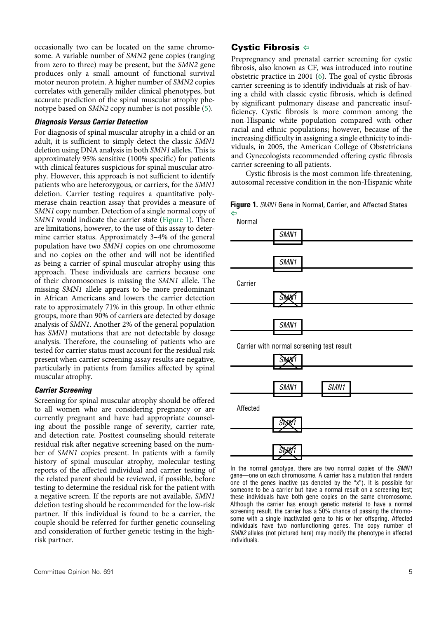occasionally two can be located on the same chromosome. A variable number of *SMN2* gene copies (ranging from zero to three) may be present, but the *SMN2* gene produces only a small amount of functional survival motor neuron protein. A higher number of *SMN2* copies correlates with generally milder clinical phenotypes, but accurate prediction of the spinal muscular atrophy phenotype based on *SMN2* copy number is not possible (5).

#### *Diagnosis Versus Carrier Detection*

For diagnosis of spinal muscular atrophy in a child or an adult, it is sufficient to simply detect the classic *SMN1* deletion using DNA analysis in both *SMN1* alleles. This is approximately 95% sensitive (100% specific) for patients with clinical features suspicious for spinal muscular atrophy. However, this approach is not sufficient to identify patients who are heterozygous, or carriers, for the *SMN1* deletion. Carrier testing requires a quantitative polymerase chain reaction assay that provides a measure of *SMN1* copy number. Detection of a single normal copy of *SMN1* would indicate the carrier state (Figure 1). There are limitations, however, to the use of this assay to determine carrier status. Approximately 3–4% of the general population have two *SMN1* copies on one chromosome and no copies on the other and will not be identified as being a carrier of spinal muscular atrophy using this approach. These individuals are carriers because one of their chromosomes is missing the *SMN1* allele. The missing *SMN1* allele appears to be more predominant in African Americans and lowers the carrier detection rate to approximately 71% in this group. In other ethnic groups, more than 90% of carriers are detected by dosage analysis of *SMN1*. Another 2% of the general population has *SMN1* mutations that are not detectable by dosage analysis. Therefore, the counseling of patients who are tested for carrier status must account for the residual risk present when carrier screening assay results are negative, particularly in patients from families affected by spinal muscular atrophy.

#### *Carrier Screening*

Screening for spinal muscular atrophy should be offered to all women who are considering pregnancy or are currently pregnant and have had appropriate counseling about the possible range of severity, carrier rate, and detection rate. Posttest counseling should reiterate residual risk after negative screening based on the number of *SMN1* copies present. In patients with a family history of spinal muscular atrophy, molecular testing reports of the affected individual and carrier testing of the related parent should be reviewed, if possible, before testing to determine the residual risk for the patient with a negative screen. If the reports are not available, *SMN1* deletion testing should be recommended for the low-risk partner. If this individual is found to be a carrier, the couple should be referred for further genetic counseling and consideration of further genetic testing in the highrisk partner.

#### Cystic Fibrosis  $\Leftrightarrow$

Prepregnancy and prenatal carrier screening for cystic fibrosis, also known as CF, was introduced into routine obstetric practice in 2001 (6). The goal of cystic fibrosis carrier screening is to identify individuals at risk of having a child with classic cystic fibrosis, which is defined by significant pulmonary disease and pancreatic insufficiency. Cystic fibrosis is more common among the non-Hispanic white population compared with other racial and ethnic populations; however, because of the increasing difficulty in assigning a single ethnicity to individuals, in 2005, the American College of Obstetricians and Gynecologists recommended offering cystic fibrosis carrier screening to all patients.

Cystic fibrosis is the most common life-threatening, autosomal recessive condition in the non-Hispanic white



In the normal genotype, there are two normal copies of the *SMN1* gene—one on each chromosome. A carrier has a mutation that renders one of the genes inactive (as denoted by the "x"). It is possible for someone to be a carrier but have a normal result on a screening test; these individuals have both gene copies on the same chromosome. Although the carrier has enough genetic material to have a normal screening result, the carrier has a 50% chance of passing the chromosome with a single inactivated gene to his or her offspring. Affected individuals have two nonfunctioning genes. The copy number of *SMN2* alleles (not pictured here) may modify the phenotype in affected individuals.

**Figure 1.** *SMN1* Gene in Normal, Carrier, and Affected States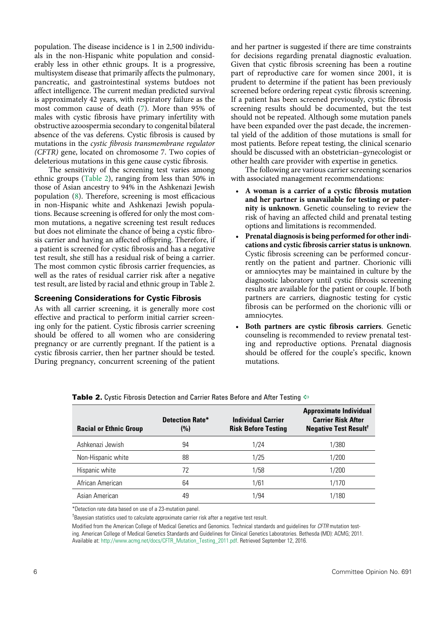population. The disease incidence is 1 in 2,500 individuals in the non-Hispanic white population and considerably less in other ethnic groups. It is a progressive, multisystem disease that primarily affects the pulmonary, pancreatic, and gastrointestinal systems butdoes not affect intelligence. The current median predicted survival is approximately 42 years, with respiratory failure as the most common cause of death (7). More than 95% of males with cystic fibrosis have primary infertility with obstructive azoospermia secondary to congenital bilateral absence of the vas deferens. Cystic fibrosis is caused by mutations in the *cystic fibrosis transmembrane regulator (CFTR)* gene, located on chromosome 7. Two copies of deleterious mutations in this gene cause cystic fibrosis.

The sensitivity of the screening test varies among ethnic groups (Table 2), ranging from less than 50% in those of Asian ancestry to 94% in the Ashkenazi Jewish population (8). Therefore, screening is most efficacious in non-Hispanic white and Ashkenazi Jewish populations. Because screening is offered for only the most common mutations, a negative screening test result reduces but does not eliminate the chance of being a cystic fibrosis carrier and having an affected offspring. Therefore, if a patient is screened for cystic fibrosis and has a negative test result, she still has a residual risk of being a carrier. The most common cystic fibrosis carrier frequencies, as well as the rates of residual carrier risk after a negative test result, are listed by racial and ethnic group in Table 2.

#### **Screening Considerations for Cystic Fibrosis**

As with all carrier screening, it is generally more cost effective and practical to perform initial carrier screening only for the patient. Cystic fibrosis carrier screening should be offered to all women who are considering pregnancy or are currently pregnant. If the patient is a cystic fibrosis carrier, then her partner should be tested. During pregnancy, concurrent screening of the patient

and her partner is suggested if there are time constraints for decisions regarding prenatal diagnostic evaluation. Given that cystic fibrosis screening has been a routine part of reproductive care for women since 2001, it is prudent to determine if the patient has been previously screened before ordering repeat cystic fibrosis screening. If a patient has been screened previously, cystic fibrosis screening results should be documented, but the test should not be repeated. Although some mutation panels have been expanded over the past decade, the incremental yield of the addition of those mutations is small for most patients. Before repeat testing, the clinical scenario should be discussed with an obstetrician–gynecologist or other health care provider with expertise in genetics.

The following are various carrier screening scenarios with associated management recommendations:

- **A woman is a carrier of a cystic fibrosis mutation and her partner is unavailable for testing or paternity is unknown**. Genetic counseling to review the risk of having an affected child and prenatal testing options and limitations is recommended.
- **Prenatal diagnosis is being performed for other indications and cystic fibrosis carrier status is unknown**. Cystic fibrosis screening can be performed concurrently on the patient and partner. Chorionic villi or amniocytes may be maintained in culture by the diagnostic laboratory until cystic fibrosis screening results are available for the patient or couple. If both partners are carriers, diagnostic testing for cystic fibrosis can be performed on the chorionic villi or amniocytes.
- **Both partners are cystic fibrosis carriers**. Genetic counseling is recommended to review prenatal testing and reproductive options. Prenatal diagnosis should be offered for the couple's specific, known mutations.

| <b>Racial or Ethnic Group</b> | <b>Detection Rate*</b><br>(%) | <b>Individual Carrier</b><br><b>Risk Before Testing</b> | <b>Approximate Individual</b><br><b>Carrier Risk After</b><br><b>Negative Test Result<sup>†</sup></b> |
|-------------------------------|-------------------------------|---------------------------------------------------------|-------------------------------------------------------------------------------------------------------|
| Ashkenazi Jewish              | 94                            | 1/24                                                    | 1/380                                                                                                 |
| Non-Hispanic white            | 88                            | 1/25                                                    | 1/200                                                                                                 |
| Hispanic white                | 72                            | 1/58                                                    | 1/200                                                                                                 |
| African American              | 64                            | 1/61                                                    | 1/170                                                                                                 |
| Asian American                | 49                            | 1/94                                                    | 1/180                                                                                                 |

**Table 2.** Cystic Fibrosis Detection and Carrier Rates Before and After Testing  $\Leftrightarrow$ 

\*Detection rate data based on use of a 23-mutation panel.

<sup>†</sup>Bayesian statistics used to calculate approximate carrier risk after a negative test result.

Modified from the American College of Medical Genetics and Genomics. Technical standards and guidelines for *CFTR* mutation testing. American College of Medical Genetics Standards and Guidelines for Clinical Genetics Laboratories. Bethesda (MD): ACMG; 2011. Available at: http://www.acmg.net/docs/CFTR\_Mutation\_Testing\_2011.pdf. Retrieved September 12, 2016.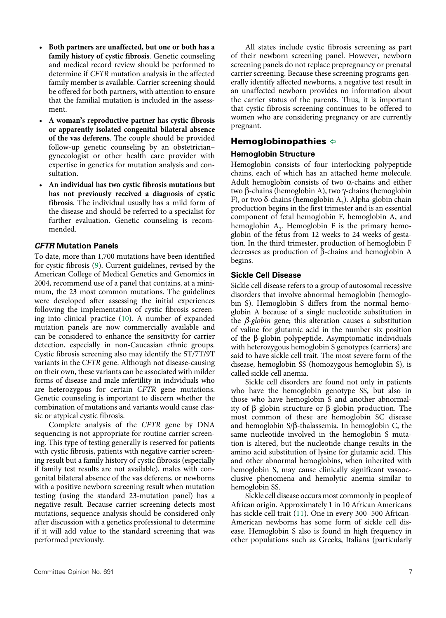- **Both partners are unaffected, but one or both has a family history of cystic fibrosis**. Genetic counseling and medical record review should be performed to determine if *CFTR* mutation analysis in the affected family member is available. Carrier screening should be offered for both partners, with attention to ensure that the familial mutation is included in the assessment.
- **A woman's reproductive partner has cystic fibrosis or apparently isolated congenital bilateral absence of the vas deferens**. The couple should be provided follow-up genetic counseling by an obstetrician– gynecologist or other health care provider with expertise in genetics for mutation analysis and consultation.
- **An individual has two cystic fibrosis mutations but has not previously received a diagnosis of cystic fibrosis**. The individual usually has a mild form of the disease and should be referred to a specialist for further evaluation. Genetic counseling is recommended.

# *CFTR* **Mutation Panels**

To date, more than 1,700 mutations have been identified for cystic fibrosis (9). Current guidelines, revised by the American College of Medical Genetics and Genomics in 2004, recommend use of a panel that contains, at a minimum, the 23 most common mutations. The guidelines were developed after assessing the initial experiences following the implementation of cystic fibrosis screening into clinical practice (10). A number of expanded mutation panels are now commercially available and can be considered to enhance the sensitivity for carrier detection, especially in non-Caucasian ethnic groups. Cystic fibrosis screening also may identify the 5T/7T/9T variants in the *CFTR* gene. Although not disease-causing on their own, these variants can be associated with milder forms of disease and male infertility in individuals who are heterozygous for certain *CFTR* gene mutations. Genetic counseling is important to discern whether the combination of mutations and variants would cause classic or atypical cystic fibrosis.

Complete analysis of the *CFTR* gene by DNA sequencing is not appropriate for routine carrier screening. This type of testing generally is reserved for patients with cystic fibrosis, patients with negative carrier screening result but a family history of cystic fibrosis (especially if family test results are not available), males with congenital bilateral absence of the vas deferens, or newborns with a positive newborn screening result when mutation testing (using the standard 23-mutation panel) has a negative result. Because carrier screening detects most mutations, sequence analysis should be considered only after discussion with a genetics professional to determine if it will add value to the standard screening that was performed previously.

All states include cystic fibrosis screening as part of their newborn screening panel. However, newborn screening panels do not replace prepregnancy or prenatal carrier screening. Because these screening programs generally identify affected newborns, a negative test result in an unaffected newborn provides no information about the carrier status of the parents. Thus, it is important that cystic fibrosis screening continues to be offered to women who are considering pregnancy or are currently pregnant.

# Hemoglobinopathies  $\Leftrightarrow$

#### **Hemoglobin Structure**

Hemoglobin consists of four interlocking polypeptide chains, each of which has an attached heme molecule. Adult hemoglobin consists of two  $\alpha$ -chains and either two β-chains (hemoglobin A), two γ-chains (hemoglobin F), or two  $\delta$ -chains (hemoglobin A<sub>2</sub>). Alpha-globin chain production begins in the first trimester and is an essential component of fetal hemoglobin F, hemoglobin A, and hemoglobin  $A_2$ . Hemoglobin F is the primary hemoglobin of the fetus from 12 weeks to 24 weeks of gestation. In the third trimester, production of hemoglobin F decreases as production of β-chains and hemoglobin A begins.

#### **Sickle Cell Disease**

Sickle cell disease refers to a group of autosomal recessive disorders that involve abnormal hemoglobin (hemoglobin S). Hemoglobin S differs from the normal hemoglobin A because of a single nucleotide substitution in the β*-globin* gene; this alteration causes a substitution of valine for glutamic acid in the number six position of the β-globin polypeptide. Asymptomatic individuals with heterozygous hemoglobin S genotypes (carriers) are said to have sickle cell trait. The most severe form of the disease, hemoglobin SS (homozygous hemoglobin S), is called sickle cell anemia.

Sickle cell disorders are found not only in patients who have the hemoglobin genotype SS, but also in those who have hemoglobin S and another abnormality of β-globin structure or β-globin production. The most common of these are hemoglobin SC disease and hemoglobin S/β-thalassemia. In hemoglobin C, the same nucleotide involved in the hemoglobin S mutation is altered, but the nucleotide change results in the amino acid substitution of lysine for glutamic acid. This and other abnormal hemoglobins, when inherited with hemoglobin S, may cause clinically significant vasoocclusive phenomena and hemolytic anemia similar to hemoglobin SS.

Sickle cell disease occurs most commonly in people of African origin. Approximately 1 in 10 African Americans has sickle cell trait (11). One in every 300–500 African-American newborns has some form of sickle cell disease. Hemoglobin S also is found in high frequency in other populations such as Greeks, Italians (particularly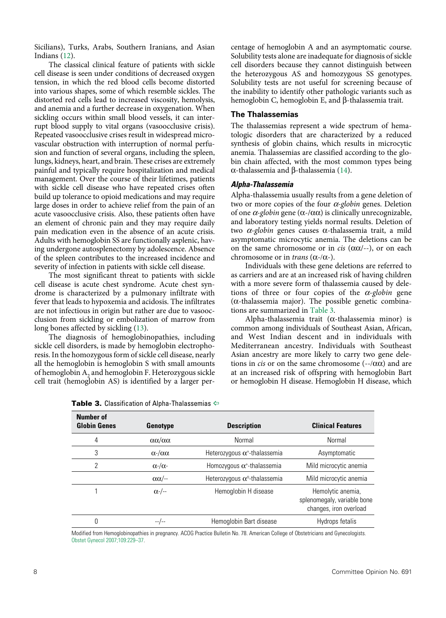Sicilians), Turks, Arabs, Southern Iranians, and Asian Indians (12).

The classical clinical feature of patients with sickle cell disease is seen under conditions of decreased oxygen tension, in which the red blood cells become distorted into various shapes, some of which resemble sickles. The distorted red cells lead to increased viscosity, hemolysis, and anemia and a further decrease in oxygenation. When sickling occurs within small blood vessels, it can interrupt blood supply to vital organs (vasoocclusive crisis). Repeated vasoocclusive crises result in widespread microvascular obstruction with interruption of normal perfusion and function of several organs, including the spleen, lungs, kidneys, heart, and brain. These crises are extremely painful and typically require hospitalization and medical management. Over the course of their lifetimes, patients with sickle cell disease who have repeated crises often build up tolerance to opioid medications and may require large doses in order to achieve relief from the pain of an acute vasoocclusive crisis. Also, these patients often have an element of chronic pain and they may require daily pain medication even in the absence of an acute crisis. Adults with hemoglobin SS are functionally asplenic, having undergone autosplenectomy by adolescence. Absence of the spleen contributes to the increased incidence and severity of infection in patients with sickle cell disease.

The most significant threat to patients with sickle cell disease is acute chest syndrome. Acute chest syndrome is characterized by a pulmonary infiltrate with fever that leads to hypoxemia and acidosis. The infiltrates are not infectious in origin but rather are due to vasoocclusion from sickling or embolization of marrow from long bones affected by sickling (13).

The diagnosis of hemoglobinopathies, including sickle cell disorders, is made by hemoglobin electrophoresis. In the homozygous form of sickle cell disease, nearly all the hemoglobin is hemoglobin S with small amounts of hemoglobin  $A_2$  and hemoglobin F. Heterozygous sickle cell trait (hemoglobin AS) is identified by a larger percentage of hemoglobin A and an asymptomatic course. Solubility tests alone are inadequate for diagnosis of sickle cell disorders because they cannot distinguish between the heterozygous AS and homozygous SS genotypes. Solubility tests are not useful for screening because of the inability to identify other pathologic variants such as hemoglobin C, hemoglobin E, and β-thalassemia trait.

#### **The Thalassemias**

The thalassemias represent a wide spectrum of hematologic disorders that are characterized by a reduced synthesis of globin chains, which results in microcytic anemia. Thalassemias are classified according to the globin chain affected, with the most common types being α-thalassemia and β-thalassemia (14).

#### *Alpha-Thalassemia*

Alpha-thalassemia usually results from a gene deletion of two or more copies of the four α-*globin* genes. Deletion of one α-*globin* gene (α-/αα) is clinically unrecognizable, and laboratory testing yields normal results. Deletion of two α-*globin* genes causes α-thalassemia trait, a mild asymptomatic microcytic anemia. The deletions can be on the same chromosome or in *cis* ( $\alpha \alpha$ /--), or on each chromosome or in *trans* ( $\alpha$ -/ $\alpha$ -).

Individuals with these gene deletions are referred to as carriers and are at an increased risk of having children with a more severe form of thalassemia caused by deletions of three or four copies of the α-*globin* gene (α-thalassemia major). The possible genetic combinations are summarized in Table 3.

Alpha-thalassemia trait (α-thalassemia minor) is common among individuals of Southeast Asian, African, and West Indian descent and in individuals with Mediterranean ancestry. Individuals with Southeast Asian ancestry are more likely to carry two gene deletions in *cis* or on the same chromosome  $(-/\alpha \alpha)$  and are at an increased risk of offspring with hemoglobin Bart or hemoglobin H disease. Hemoglobin H disease, which

| <b>Number of</b><br><b>Globin Genes</b> | Genotype                    | <b>Description</b>                              | <b>Clinical Features</b>                                                   |
|-----------------------------------------|-----------------------------|-------------------------------------------------|----------------------------------------------------------------------------|
| 4                                       | $\alpha\alpha/\alpha\alpha$ | Normal                                          | Normal                                                                     |
| 3                                       | $\alpha$ -/ $\alpha\alpha$  | Heterozygous $\alpha$ <sup>+</sup> -thalassemia | Asymptomatic                                                               |
| 2                                       | $\alpha$ -/ $\alpha$ -      | Homozygous $\alpha$ <sup>+</sup> -thalassemia   | Mild microcytic anemia                                                     |
|                                         | $\alpha\alpha$ --           | Heterozygous $\alpha$ <sup>o</sup> -thalassemia | Mild microcytic anemia                                                     |
|                                         | $\alpha$ -/--               | Hemoglobin H disease                            | Hemolytic anemia,<br>splenomegaly, variable bone<br>changes, iron overload |
| 0                                       | -- / --                     | Hemoglobin Bart disease                         | Hydrops fetalis                                                            |

**Table 3.** Classification of Alpha-Thalassemias  $\Leftrightarrow$ 

Modified from Hemoglobinopathies in pregnancy. ACOG Practice Bulletin No. 78. American College of Obstetricians and Gynecologists. Obstet Gynecol 2007;109:229–37.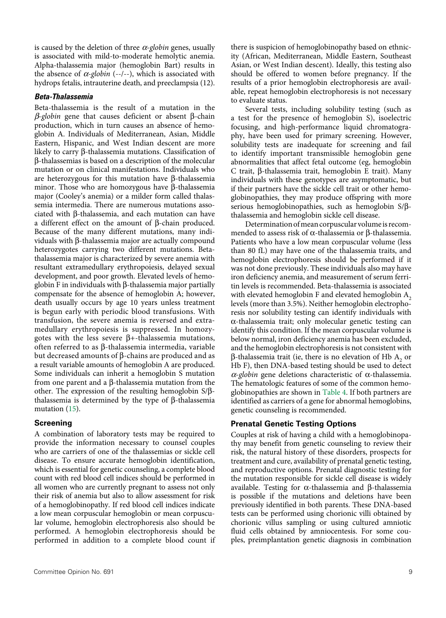is caused by the deletion of three α-*globin* genes, usually is associated with mild-to-moderate hemolytic anemia. Alpha-thalassemia major (hemoglobin Bart) results in the absence of  $\alpha$ -*globin* (--/--), which is associated with hydrops fetalis, intrauterine death, and preeclampsia (12).

#### *Beta-Thalassemia*

Beta-thalassemia is the result of a mutation in the β-*globin* gene that causes deficient or absent β-chain production, which in turn causes an absence of hemoglobin A. Individuals of Mediterranean, Asian, Middle Eastern, Hispanic, and West Indian descent are more likely to carry β-thalassemia mutations. Classification of β-thalassemias is based on a description of the molecular mutation or on clinical manifestations. Individuals who are heterozygous for this mutation have β-thalassemia minor. Those who are homozygous have β-thalassemia major (Cooley's anemia) or a milder form called thalassemia intermedia. There are numerous mutations associated with β-thalassemia, and each mutation can have a different effect on the amount of β-chain produced. Because of the many different mutations, many individuals with β-thalassemia major are actually compound heterozygotes carrying two different mutations. Betathalassemia major is characterized by severe anemia with resultant extramedullary erythropoiesis, delayed sexual development, and poor growth. Elevated levels of hemoglobin F in individuals with β-thalassemia major partially compensate for the absence of hemoglobin A; however, death usually occurs by age 10 years unless treatment is begun early with periodic blood transfusions. With transfusion, the severe anemia is reversed and extramedullary erythropoiesis is suppressed. In homozygotes with the less severe  $β+$ -thalassemia mutations, often referred to as β-thalassemia intermedia, variable but decreased amounts of β-chains are produced and as a result variable amounts of hemoglobin A are produced. Some individuals can inherit a hemoglobin S mutation from one parent and a β-thalassemia mutation from the other. The expression of the resulting hemoglobin S/βthalassemia is determined by the type of β-thalassemia mutation (15).

#### **Screening**

A combination of laboratory tests may be required to provide the information necessary to counsel couples who are carriers of one of the thalassemias or sickle cell disease. To ensure accurate hemoglobin identification, which is essential for genetic counseling, a complete blood count with red blood cell indices should be performed in all women who are currently pregnant to assess not only their risk of anemia but also to allow assessment for risk of a hemoglobinopathy. If red blood cell indices indicate a low mean corpuscular hemoglobin or mean corpuscular volume, hemoglobin electrophoresis also should be performed. A hemoglobin electrophoresis should be performed in addition to a complete blood count if there is suspicion of hemoglobinopathy based on ethnicity (African, Mediterranean, Middle Eastern, Southeast Asian, or West Indian descent). Ideally, this testing also should be offered to women before pregnancy. If the results of a prior hemoglobin electrophoresis are available, repeat hemoglobin electrophoresis is not necessary to evaluate status.

Several tests, including solubility testing (such as a test for the presence of hemoglobin S), isoelectric focusing, and high-performance liquid chromatography, have been used for primary screening. However, solubility tests are inadequate for screening and fail to identify important transmissible hemoglobin gene abnormalities that affect fetal outcome (eg, hemoglobin C trait, β-thalassemia trait, hemoglobin E trait). Many individuals with these genotypes are asymptomatic, but if their partners have the sickle cell trait or other hemoglobinopathies, they may produce offspring with more serious hemoglobinopathies, such as hemoglobin S/βthalassemia and hemoglobin sickle cell disease.

Determination of mean corpuscular volume is recommended to assess risk of α-thalassemia or β-thalassemia. Patients who have a low mean corpuscular volume (less than 80 fL) may have one of the thalassemia traits, and hemoglobin electrophoresis should be performed if it was not done previously. These individuals also may have iron deficiency anemia, and measurement of serum ferritin levels is recommended. Beta-thalassemia is associated with elevated hemoglobin  $F$  and elevated hemoglobin  $A$ , levels (more than 3.5%). Neither hemoglobin electrophoresis nor solubility testing can identify individuals with α-thalassemia trait; only molecular genetic testing can identify this condition. If the mean corpuscular volume is below normal, iron deficiency anemia has been excluded, and the hemoglobin electrophoresis is not consistent with β-thalassemia trait (ie, there is no elevation of Hb  $A_2$  or Hb F), then DNA-based testing should be used to detect <sup>α</sup>-*globin* gene deletions characteristic of α-thalassemia. The hematologic features of some of the common hemoglobinopathies are shown in Table 4. If both partners are identified as carriers of a gene for abnormal hemoglobins, genetic counseling is recommended.

# **Prenatal Genetic Testing Options**

Couples at risk of having a child with a hemoglobinopathy may benefit from genetic counseling to review their risk, the natural history of these disorders, prospects for treatment and cure, availability of prenatal genetic testing, and reproductive options. Prenatal diagnostic testing for the mutation responsible for sickle cell disease is widely available. Testing for α-thalassemia and β-thalassemia is possible if the mutations and deletions have been previously identified in both parents. These DNA-based tests can be performed using chorionic villi obtained by chorionic villus sampling or using cultured amniotic fluid cells obtained by amniocentesis. For some couples, preimplantation genetic diagnosis in combination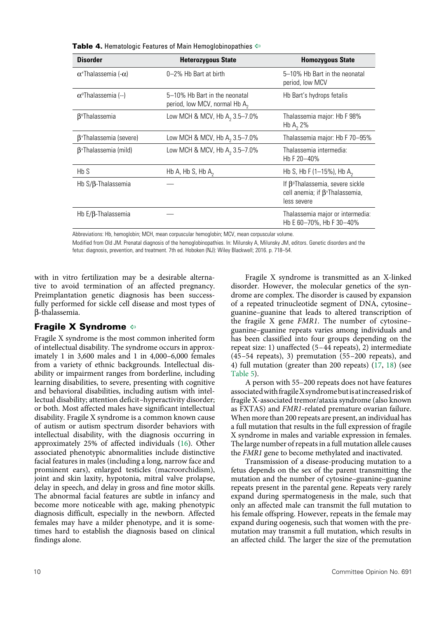| Table 4. Hematologic Features of Main Hemoglobinopathies ⇔ |  |  |  |
|------------------------------------------------------------|--|--|--|
|                                                            |  |  |  |

| <b>Disorder</b>                                 | <b>Heterozygous State</b>                                                  | <b>Homozygous State</b>                                                                             |
|-------------------------------------------------|----------------------------------------------------------------------------|-----------------------------------------------------------------------------------------------------|
| $\alpha$ <sup>+</sup> Thalassemia (- $\alpha$ ) | 0-2% Hb Bart at birth                                                      | 5–10% Hb Bart in the neonatal<br>period, low MCV                                                    |
| $\alpha$ <sup>o</sup> Thalassemia (--)          | 5-10% Hb Bart in the neonatal<br>period, low MCV, normal Hb A <sub>2</sub> | Hb Bart's hydrops fetalis                                                                           |
| β <sup>o</sup> Thalassemia                      | Low MCH & MCV, Hb A <sub>2</sub> 3.5-7.0%                                  | Thalassemia major: Hb F 98%<br>Hb A <sub>2</sub> 2%                                                 |
| $\beta$ <sup>+</sup> Thalassemia (severe)       | Low MCH & MCV, Hb A <sub>2</sub> 3.5-7.0%                                  | Thalassemia major: Hb F 70-95%                                                                      |
| β <sup>+</sup> Thalassemia (mild)               | Low MCH & MCV, Hb A <sub>2</sub> 3.5-7.0%                                  | Thalassemia intermedia:<br>Hb F 20-40%                                                              |
| HbS                                             | Hb A, Hb S, Hb $A_2$                                                       | Hb S, Hb F (1-15%), Hb A <sub>2</sub>                                                               |
| Hb $S/B$ -Thalassemia                           |                                                                            | If B°Thalassemia, severe sickle<br>cell anemia; if $\beta$ <sup>+</sup> Thalassemia,<br>less severe |
| Hb $E/B$ -Thalassemia                           |                                                                            | Thalassemia major or intermedia:<br>Hb E 60-70%, Hb F 30-40%                                        |

Abbreviations: Hb, hemoglobin; MCH, mean corpuscular hemoglobin; MCV, mean corpuscular volume.

Modified from Old JM. Prenatal diagnosis of the hemoglobinopathies. In: Milunsky A, Milunsky JM, editors. Genetic disorders and the fetus: diagnosis, prevention, and treatment. 7th ed. Hoboken (NJ): Wiley Blackwell; 2016. p. 718–54.

with in vitro fertilization may be a desirable alternative to avoid termination of an affected pregnancy. Preimplantation genetic diagnosis has been successfully performed for sickle cell disease and most types of β-thalassemia.

# Fragile X Syndrome  $\Leftrightarrow$

Fragile X syndrome is the most common inherited form of intellectual disability. The syndrome occurs in approximately 1 in 3,600 males and 1 in 4,000–6,000 females from a variety of ethnic backgrounds. Intellectual disability or impairment ranges from borderline, including learning disabilities, to severe, presenting with cognitive and behavioral disabilities, including autism with intellectual disability; attention deficit–hyperactivity disorder; or both. Most affected males have significant intellectual disability. Fragile X syndrome is a common known cause of autism or autism spectrum disorder behaviors with intellectual disability, with the diagnosis occurring in approximately 25% of affected individuals (16). Other associated phenotypic abnormalities include distinctive facial features in males (including a long, narrow face and prominent ears), enlarged testicles (macroorchidism), joint and skin laxity, hypotonia, mitral valve prolapse, delay in speech, and delay in gross and fine motor skills. The abnormal facial features are subtle in infancy and become more noticeable with age, making phenotypic diagnosis difficult, especially in the newborn. Affected females may have a milder phenotype, and it is sometimes hard to establish the diagnosis based on clinical findings alone.

Fragile X syndrome is transmitted as an X-linked disorder. However, the molecular genetics of the syndrome are complex. The disorder is caused by expansion of a repeated trinucleotide segment of DNA, cytosine– guanine–guanine that leads to altered transcription of the fragile X gene *FMR1*. The number of cytosine– guanine–guanine repeats varies among individuals and has been classified into four groups depending on the repeat size: 1) unaffected (5–44 repeats), 2) intermediate (45–54 repeats), 3) premutation (55–200 repeats), and 4) full mutation (greater than 200 repeats) (17, [18\)](#page-13-1) (see Table 5).

<span id="page-9-0"></span>A person with 55–200 repeats does not have features associated with fragile X syndrome but is at increased risk of fragile X-associated tremor/ataxia syndrome (also known as FXTAS) and *FMR1*-related premature ovarian failure. When more than 200 repeats are present, an individual has a full mutation that results in the full expression of fragile X syndrome in males and variable expression in females. The large number of repeats in a full mutation allele causes the *FMR1* gene to become methylated and inactivated.

Transmission of a disease-producing mutation to a fetus depends on the sex of the parent transmitting the mutation and the number of cytosine–guanine–guanine repeats present in the parental gene. Repeats very rarely expand during spermatogenesis in the male, such that only an affected male can transmit the full mutation to his female offspring. However, repeats in the female may expand during oogenesis, such that women with the premutation may transmit a full mutation, which results in an affected child. The larger the size of the premutation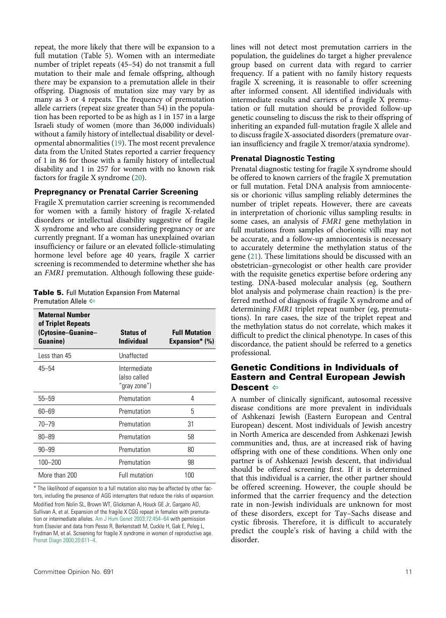repeat, the more likely that there will be expansion to a full mutation (Table 5). Women with an intermediate number of triplet repeats (45–54) do not transmit a full mutation to their male and female offspring, although there may be expansion to a premutation allele in their offspring. Diagnosis of mutation size may vary by as many as 3 or 4 repeats. The frequency of premutation allele carriers (repeat size greater than 54) in the population has been reported to be as high as 1 in 157 in a large Israeli study of women (more than 36,000 individuals) without a family history of intellectual disability or developmental abnormalities ([19](#page-13-2)). The most recent prevalence data from the United States reported a carrier frequency of 1 in 86 for those with a family history of intellectual disability and 1 in 257 for women with no known risk factors for fragile X syndrome (20).

#### **Prepregnancy or Prenatal Carrier Screening**

Fragile X premutation carrier screening is recommended for women with a family history of fragile X-related disorders or intellectual disability suggestive of fragile X syndrome and who are considering pregnancy or are currently pregnant. If a woman has unexplained ovarian insufficiency or failure or an elevated follicle-stimulating hormone level before age 40 years, fragile X carrier screening is recommended to determine whether she has an *FMR1* premutation. Although following these guide-

|                                      |  | Table 5. Full Mutation Expansion From Maternal |  |
|--------------------------------------|--|------------------------------------------------|--|
| Premutation Allele $\Leftrightarrow$ |  |                                                |  |

| <b>Maternal Number</b><br>of Triplet Repeats<br>(Cytosine-Guanine-<br>Guanine) | <b>Status of</b><br><b>Individual</b>        | <b>Full Mutation</b><br><b>Expansion*</b> (%) |
|--------------------------------------------------------------------------------|----------------------------------------------|-----------------------------------------------|
| Less than 45                                                                   | Unaffected                                   |                                               |
| $45 - 54$                                                                      | Intermediate<br>(also called<br>"gray zone") |                                               |
| $55 - 59$                                                                      | Premutation                                  | 4                                             |
| 60–69                                                                          | Premutation                                  | 5                                             |
| $70 - 79$                                                                      | Premutation                                  | 31                                            |
| $80 - 89$                                                                      | Premutation                                  | 58                                            |
| $90 - 99$                                                                      | Premutation                                  | 80                                            |
| $100 - 200$                                                                    | Premutation                                  | 98                                            |
| More than 200                                                                  | <b>Full mutation</b>                         | 100                                           |

\* The likelihood of expansion to a full mutation also may be affected by other factors, including the presence of AGG interrupters that reduce the risks of expansion. Modified from Nolin SL, Brown WT, Glicksman A, Houck GE Jr, Gargano AD, Sullivan A, et al. Expansion of the fragile X CGG repeat in females with premutation or intermediate alleles. Am J Hum Genet 2003;72:454–64 with permission from Elsevier and data from Pesso R, Berkenstadt M, Cuckle H, Gak E, Peleg L, Frydman M, et al. Screening for fragile X syndrome in women of reproductive age. Prenat Diagn 2000;20:611–4.

lines will not detect most premutation carriers in the population, the guidelines do target a higher prevalence group based on current data with regard to carrier frequency. If a patient with no family history requests fragile X screening, it is reasonable to offer screening after informed consent. All identified individuals with intermediate results and carriers of a fragile X premutation or full mutation should be provided follow-up genetic counseling to discuss the risk to their offspring of inheriting an expanded full-mutation fragile X allele and to discuss fragile X-associated disorders (premature ovarian insufficiency and fragile X tremor/ataxia syndrome).

#### **Prenatal Diagnostic Testing**

Prenatal diagnostic testing for fragile X syndrome should be offered to known carriers of the fragile X premutation or full mutation. Fetal DNA analysis from amniocentesis or chorionic villus sampling reliably determines the number of triplet repeats. However, there are caveats in interpretation of chorionic villus sampling results: in some cases, an analysis of *FMR1* gene methylation in full mutations from samples of chorionic villi may not be accurate, and a follow-up amniocentesis is necessary to accurately determine the methylation status of the gene (21). These limitations should be discussed with an obstetrician–gynecologist or other health care provider with the requisite genetics expertise before ordering any testing. DNA-based molecular analysis (eg, Southern blot analysis and polymerase chain reaction) is the preferred method of diagnosis of fragile X syndrome and of determining *FMR1* triplet repeat number (eg, premutations). In rare cases, the size of the triplet repeat and the methylation status do not correlate, which makes it difficult to predict the clinical phenotype. In cases of this discordance, the patient should be referred to a genetics professional.

# Genetic Conditions in Individuals of Eastern and Central European Jewish Descent  $\Leftarrow$

A number of clinically significant, autosomal recessive disease conditions are more prevalent in individuals of Ashkenazi Jewish (Eastern European and Central European) descent. Most individuals of Jewish ancestry in North America are descended from Ashkenazi Jewish communities and, thus, are at increased risk of having offspring with one of these conditions. When only one partner is of Ashkenazi Jewish descent, that individual should be offered screening first. If it is determined that this individual is a carrier, the other partner should be offered screening. However, the couple should be informed that the carrier frequency and the detection rate in non-Jewish individuals are unknown for most of these disorders, except for Tay–Sachs disease and cystic fibrosis. Therefore, it is difficult to accurately predict the couple's risk of having a child with the disorder.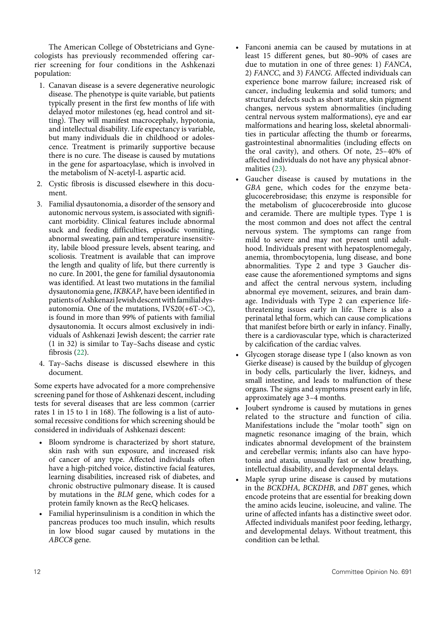The American College of Obstetricians and Gynecologists has previously recommended offering carrier screening for four conditions in the Ashkenazi population:

- 1. Canavan disease is a severe degenerative neurologic disease. The phenotype is quite variable, but patients typically present in the first few months of life with delayed motor milestones (eg, head control and sitting). They will manifest macrocephaly, hypotonia, and intellectual disability. Life expectancy is variable, but many individuals die in childhood or adolescence. Treatment is primarily supportive because there is no cure. The disease is caused by mutations in the gene for aspartoacylase, which is involved in the metabolism of N-acetyl-L aspartic acid.
- 2. Cystic fibrosis is discussed elsewhere in this document.
- 3. Familial dysautonomia, a disorder of the sensory and autonomic nervous system, is associated with significant morbidity. Clinical features include abnormal suck and feeding difficulties, episodic vomiting, abnormal sweating, pain and temperature insensitivity, labile blood pressure levels, absent tearing, and scoliosis. Treatment is available that can improve the length and quality of life, but there currently is no cure. In 2001, the gene for familial dysautonomia was identified. At least two mutations in the familial dysautonomia gene, *IKBKAP*, have been identified in patients of Ashkenazi Jewish descent with familial dysautonomia. One of the mutations, IVS20(+6T->C), is found in more than 99% of patients with familial dysautonomia. It occurs almost exclusively in individuals of Ashkenazi Jewish descent; the carrier rate (1 in 32) is similar to Tay–Sachs disease and cystic fibrosis (22).
- 4. Tay–Sachs disease is discussed elsewhere in this document.

Some experts have advocated for a more comprehensive screening panel for those of Ashkenazi descent, including tests for several diseases that are less common (carrier rates 1 in 15 to 1 in 168). The following is a list of autosomal recessive conditions for which screening should be considered in individuals of Ashkenazi descent:

- Bloom syndrome is characterized by short stature, skin rash with sun exposure, and increased risk of cancer of any type. Affected individuals often have a high-pitched voice, distinctive facial features, learning disabilities, increased risk of diabetes, and chronic obstructive pulmonary disease. It is caused by mutations in the *BLM* gene, which codes for a protein family known as the RecQ helicases.
- Familial hyperinsulinism is a condition in which the pancreas produces too much insulin, which results in low blood sugar caused by mutations in the *ABCC8* gene.
- Fanconi anemia can be caused by mutations in at least 15 different genes, but 80–90% of cases are due to mutation in one of three genes: 1) *FANCA*, 2) *FANCC*, and 3) *FANCG*. Affected individuals can experience bone marrow failure; increased risk of cancer, including leukemia and solid tumors; and structural defects such as short stature, skin pigment changes, nervous system abnormalities (including central nervous system malformations), eye and ear malformations and hearing loss, skeletal abnormalities in particular affecting the thumb or forearms, gastrointestinal abnormalities (including effects on the oral cavity), and others. Of note, 25–40% of affected individuals do not have any physical abnormalities (23).
- Gaucher disease is caused by mutations in the *GBA* gene, which codes for the enzyme betaglucocerebrosidase; this enzyme is responsible for the metabolism of glucocerebroside into glucose and ceramide. There are multiple types. Type 1 is the most common and does not affect the central nervous system. The symptoms can range from mild to severe and may not present until adulthood. Individuals present with hepatosplenomegaly, anemia, thrombocytopenia, lung disease, and bone abnormalities. Type 2 and type 3 Gaucher disease cause the aforementioned symptoms and signs and affect the central nervous system, including abnormal eye movement, seizures, and brain damage. Individuals with Type 2 can experience lifethreatening issues early in life. There is also a perinatal lethal form, which can cause complications that manifest before birth or early in infancy. Finally, there is a cardiovascular type, which is characterized by calcification of the cardiac valves.
- Glycogen storage disease type I (also known as von Gierke disease) is caused by the buildup of glycogen in body cells, particularly the liver, kidneys, and small intestine, and leads to malfunction of these organs. The signs and symptoms present early in life, approximately age 3–4 months.
- Joubert syndrome is caused by mutations in genes related to the structure and function of cilia. Manifestations include the "molar tooth" sign on magnetic resonance imaging of the brain, which indicates abnormal development of the brainstem and cerebellar vermis; infants also can have hypotonia and ataxia, unusually fast or slow breathing, intellectual disability, and developmental delays.
- Maple syrup urine disease is caused by mutations in the *BCKDHA, BCKDHB*, and *DBT* genes, which encode proteins that are essential for breaking down the amino acids leucine, isoleucine, and valine. The urine of affected infants has a distinctive sweet odor. Affected individuals manifest poor feeding, lethargy, and developmental delays. Without treatment, this condition can be lethal.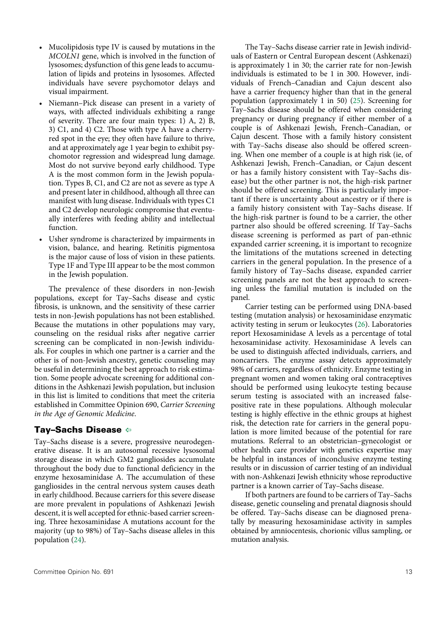- Mucolipidosis type IV is caused by mutations in the *MCOLN1* gene, which is involved in the function of lysosomes; dysfunction of this gene leads to accumulation of lipids and proteins in lysosomes. Affected individuals have severe psychomotor delays and visual impairment.
- Niemann–Pick disease can present in a variety of ways, with affected individuals exhibiting a range of severity. There are four main types: 1) A, 2) B, 3) C1, and 4) C2. Those with type A have a cherryred spot in the eye; they often have failure to thrive, and at approximately age 1 year begin to exhibit psychomotor regression and widespread lung damage. Most do not survive beyond early childhood. Type A is the most common form in the Jewish population. Types B, C1, and C2 are not as severe as type A and present later in childhood, although all three can manifest with lung disease. Individuals with types C1 and C2 develop neurologic compromise that eventually interferes with feeding ability and intellectual function.
- Usher syndrome is characterized by impairments in vision, balance, and hearing. Retinitis pigmentosa is the major cause of loss of vision in these patients. Type 1F and Type III appear to be the most common in the Jewish population.

The prevalence of these disorders in non-Jewish populations, except for Tay–Sachs disease and cystic fibrosis, is unknown, and the sensitivity of these carrier tests in non-Jewish populations has not been established. Because the mutations in other populations may vary, counseling on the residual risks after negative carrier screening can be complicated in non-Jewish individuals. For couples in which one partner is a carrier and the other is of non-Jewish ancestry, genetic counseling may be useful in determining the best approach to risk estimation. Some people advocate screening for additional conditions in the Ashkenazi Jewish population, but inclusion in this list is limited to conditions that meet the criteria established in Committee Opinion 690, *Carrier Screening in the Age of Genomic Medicine*.

# Tay–Sachs Disease ⇔

Tay–Sachs disease is a severe, progressive neurodegenerative disease. It is an autosomal recessive lysosomal storage disease in which GM2 gangliosides accumulate throughout the body due to functional deficiency in the enzyme hexosaminidase A. The accumulation of these gangliosides in the central nervous system causes death in early childhood. Because carriers for this severe disease are more prevalent in populations of Ashkenazi Jewish descent, it is well accepted for ethnic-based carrier screening. Three hexosaminidase A mutations account for the majority (up to 98%) of Tay–Sachs disease alleles in this population (24).

The Tay–Sachs disease carrier rate in Jewish individuals of Eastern or Central European descent (Ashkenazi) is approximately 1 in 30; the carrier rate for non-Jewish individuals is estimated to be 1 in 300. However, individuals of French–Canadian and Cajun descent also have a carrier frequency higher than that in the general population (approximately 1 in 50) (25). Screening for Tay–Sachs disease should be offered when considering pregnancy or during pregnancy if either member of a couple is of Ashkenazi Jewish, French–Canadian, or Cajun descent. Those with a family history consistent with Tay–Sachs disease also should be offered screening. When one member of a couple is at high risk (ie, of Ashkenazi Jewish, French–Canadian, or Cajun descent or has a family history consistent with Tay–Sachs disease) but the other partner is not, the high-risk partner should be offered screening. This is particularly important if there is uncertainty about ancestry or if there is a family history consistent with Tay–Sachs disease. If the high-risk partner is found to be a carrier, the other partner also should be offered screening. If Tay–Sachs disease screening is performed as part of pan-ethnic expanded carrier screening, it is important to recognize the limitations of the mutations screened in detecting carriers in the general population. In the presence of a family history of Tay–Sachs disease, expanded carrier screening panels are not the best approach to screening unless the familial mutation is included on the panel.

Carrier testing can be performed using DNA-based testing (mutation analysis) or hexosaminidase enzymatic activity testing in serum or leukocytes (26). Laboratories report Hexosaminidase A levels as a percentage of total hexosaminidase activity. Hexosaminidase A levels can be used to distinguish affected individuals, carriers, and noncarriers. The enzyme assay detects approximately 98% of carriers, regardless of ethnicity. Enzyme testing in pregnant women and women taking oral contraceptives should be performed using leukocyte testing because serum testing is associated with an increased falsepositive rate in these populations. Although molecular testing is highly effective in the ethnic groups at highest risk, the detection rate for carriers in the general population is more limited because of the potential for rare mutations. Referral to an obstetrician–gynecologist or other health care provider with genetics expertise may be helpful in instances of inconclusive enzyme testing results or in discussion of carrier testing of an individual with non-Ashkenazi Jewish ethnicity whose reproductive partner is a known carrier of Tay–Sachs disease.

If both partners are found to be carriers of Tay–Sachs disease, genetic counseling and prenatal diagnosis should be offered. Tay–Sachs disease can be diagnosed prenatally by measuring hexosaminidase activity in samples obtained by amniocentesis, chorionic villus sampling, or mutation analysis.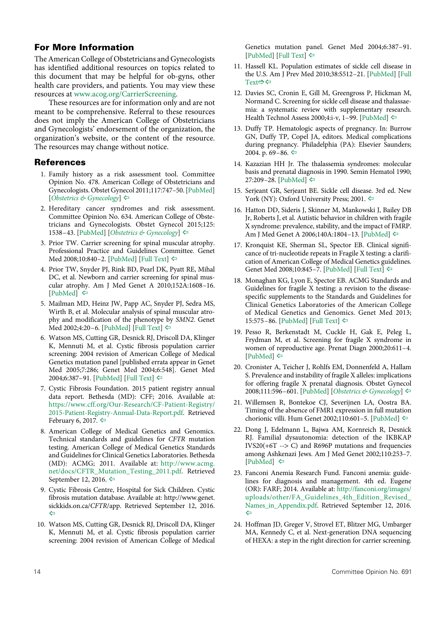# For More Information

The American College of Obstetricians and Gynecologists has identified additional resources on topics related to this document that may be helpful for ob-gyns, other health care providers, and patients. You may view these resources at www.acog.org/CarrierScreening.

These resources are for information only and are not meant to be comprehensive. Referral to these resources does not imply the American College of Obstetricians and Gynecologists' endorsement of the organization, the organization's website, or the content of the resource. The resources may change without notice.

# References

- <span id="page-13-0"></span>1. Family history as a risk assessment tool. Committee Opinion No. 478. American College of Obstetricians and Gynecologists. Obstet Gynecol 2011;117:747–50. [PubMed] [*Obstetrics & Gynecology*] ^
- 2. Hereditary cancer syndromes and risk assessment. Committee Opinion No. 634. American College of Obstetricians and Gynecologists. Obstet Gynecol 2015;125: 1538–43. [PubMed] [*Obstetrics & Gynecology*] ^
- 3. Prior TW. Carrier screening for spinal muscular atrophy. Professional Practice and Guidelines Committee. Genet Med 2008;10:840-2. [PubMed] [Full Text] ⇔
- 4. Prior TW, Snyder PJ, Rink BD, Pearl DK, Pyatt RE, Mihal DC, et al. Newborn and carrier screening for spinal muscular atrophy. Am J Med Genet A 2010;152A:1608–16. [PubMed] ^
- 5. Mailman MD, Heinz JW, Papp AC, Snyder PJ, Sedra MS, Wirth B, et al. Molecular analysis of spinal muscular atrophy and modification of the phenotype by *SMN2*. Genet Med 2002;4:20-6. [PubMed] [Full Text] ⇔
- 6. Watson MS, Cutting GR, Desnick RJ, Driscoll DA, Klinger K, Mennuti M, et al. Cystic fibrosis population carrier screening: 2004 revision of American College of Medical Genetics mutation panel [published errata appear in Genet Med 2005;7:286; Genet Med 2004;6:548]. Genet Med 2004;6:387–91. [PubMed] [Full Text] ^
- 7. Cystic Fibrosis Foundation. 2015 patient registry annual data report. Bethesda (MD): CFF; 2016. Available at: https://www.cff.org/Our-Research/CF-Patient-Registry/ 2015-Patient-Registry-Annual-Data-Report.pdf. Retrieved February 6, 2017.  $\Leftrightarrow$
- 8. American College of Medical Genetics and Genomics. Technical standards and guidelines for *CFTR* mutation testing. American College of Medical Genetics Standards and Guidelines for Clinical Genetics Laboratories. Bethesda (MD): ACMG; 2011. Available at: http://www.acmg. net/docs/CFTR\_Mutation\_Testing\_2011.pdf. Retrieved September 12, 2016. ^
- 9. Cystic Fibrosis Centre, Hospital for Sick Children. Cystic fibrosis mutation database. Available at: http://www.genet. sickkids.on.ca/*CFTR*/app. Retrieved September 12, 2016.  $\leftarrow$
- 10. Watson MS, Cutting GR, Desnick RJ, Driscoll DA, Klinger K, Mennuti M, et al. Cystic fibrosis population carrier screening: 2004 revision of American College of Medical

Genetics mutation panel. Genet Med 2004;6:387–91. [PubMed] [Full Text] ^

- 11. Hassell KL. Population estimates of sickle cell disease in the U.S. Am J Prev Med 2010;38:S512–21. [PubMed] [Full Text⇒⇔
- 12. Davies SC, Cronin E, Gill M, Greengross P, Hickman M, Normand C. Screening for sickle cell disease and thalassaemia: a systematic review with supplementary research. Health Technol Assess 2000;4:i-v, 1–99. [PubMed] ^
- 13. Duffy TP. Hematologic aspects of pregnancy. In: Burrow GN, Duffy TP, Copel JA, editors. Medical complications during pregnancy. Philadelphia (PA): Elsevier Saunders; 2004. p. 69-86. ⇔
- 14. Kazazian HH Jr. The thalassemia syndromes: molecular basis and prenatal diagnosis in 1990. Semin Hematol 1990; 27:209-28. [PubMed]  $\Leftrightarrow$
- 15. Serjeant GR, Serjeant BE. Sickle cell disease. 3rd ed. New York (NY): Oxford University Press; 2001.  $\Leftarrow$
- 16. Hatton DD, Sideris J, Skinner M, Mankowski J, Bailey DB Jr, Roberts J, et al. Autistic behavior in children with fragile X syndrome: prevalence, stability, and the impact of FMRP. Am J Med Genet A 2006;140A:1804–13. [PubMed] ⇔
- 17. Kronquist KE, Sherman SL, Spector EB. Clinical significance of tri-nucleotide repeats in Fragile X testing: a clarification of American College of Medical Genetics guidelines. Genet Med 2008;10:845–7. [PubMed] [Full Text] [^](#page-9-0)
- <span id="page-13-1"></span>18. Monaghan KG, Lyon E, Spector EB. ACMG Standards and Guidelines for fragile X testing: a revision to the diseasespecific supplements to the Standards and Guidelines for Clinical Genetics Laboratories of the American College of Medical Genetics and Genomics. Genet Med 2013; 15:575–86. [PubMed] [Full Text] ⇔
- <span id="page-13-2"></span>19. Pesso R, Berkenstadt M, Cuckle H, Gak E, Peleg L, Frydman M, et al. Screening for fragile X syndrome in women of reproductive age. Prenat Diagn 2000;20:611–4. [PubMed] ^
- 20. Cronister A, Teicher J, Rohlfs EM, Donnenfeld A, Hallam S. Prevalence and instability of fragile X alleles: implications for offering fragile X prenatal diagnosis. Obstet Gynecol 2008;111:596–601. [PubMed] [*Obstetrics & Gynecology*] ^
- 21. Willemsen R, Bontekoe CJ, Severijnen LA, Oostra BA. Timing of the absence of FMR1 expression in full mutation chorionic villi. Hum Genet 2002;110:601–5. [PubMed] ^
- 22. Dong J, Edelmann L, Bajwa AM, Kornreich R, Desnick RJ. Familial dysautonomia: detection of the IKBKAP IVS20( $+6T$  --> C) and R696P mutations and frequencies among Ashkenazi Jews. Am J Med Genet 2002;110:253–7. [PubMed] ⇔
- 23. Fanconi Anemia Research Fund. Fanconi anemia: guidelines for diagnosis and management. 4th ed. Eugene (OR): FARF; 2014. Available at: http://fanconi.org/images/ uploads/other/FA\_Guidelines\_4th\_Edition\_Revised\_ Names\_in\_Appendix.pdf. Retrieved September 12, 2016.  $\Leftrightarrow$
- 24. Hoffman JD, Greger V, Strovel ET, Blitzer MG, Umbarger MA, Kennedy C, et al. Next-generation DNA sequencing of HEXA: a step in the right direction for carrier screening.